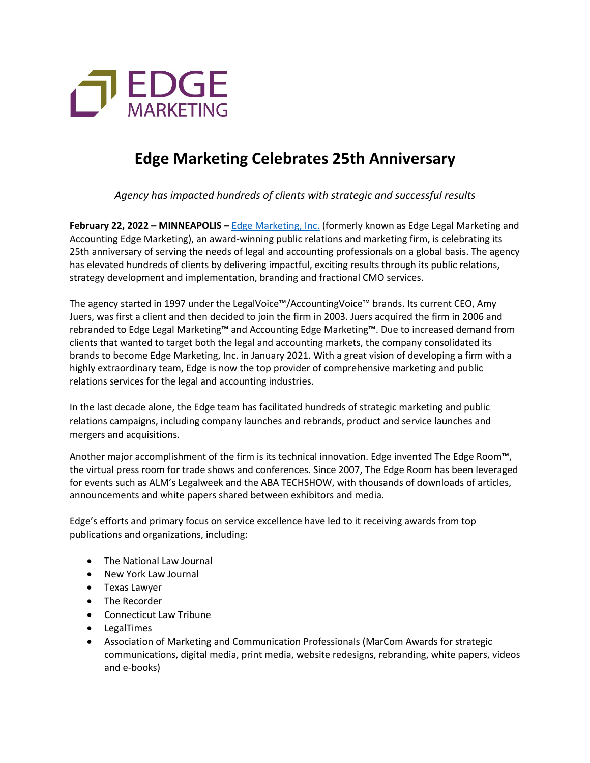

## **Edge Marketing Celebrates 25th Anniversary**

*Agency has impacted hundreds of clients with strategic and successful results*

**February 22, 2022 – MINNEAPOLIS –** Edge Marketing, Inc. (formerly known as Edge Legal Marketing and Accounting Edge Marketing), an award-winning public relations and marketing firm, is celebrating its 25th anniversary of serving the needs of legal and accounting professionals on a global basis. The agency has elevated hundreds of clients by delivering impactful, exciting results through its public relations, strategy development and implementation, branding and fractional CMO services.

The agency started in 1997 under the LegalVoice™/AccountingVoice™ brands. Its current CEO, Amy Juers, was first a client and then decided to join the firm in 2003. Juers acquired the firm in 2006 and rebranded to Edge Legal Marketing™ and Accounting Edge Marketing™. Due to increased demand from clients that wanted to target both the legal and accounting markets, the company consolidated its brands to become Edge Marketing, Inc. in January 2021. With a great vision of developing a firm with a highly extraordinary team, Edge is now the top provider of comprehensive marketing and public relations services for the legal and accounting industries.

In the last decade alone, the Edge team has facilitated hundreds of strategic marketing and public relations campaigns, including company launches and rebrands, product and service launches and mergers and acquisitions.

Another major accomplishment of the firm is its technical innovation. Edge invented The Edge Room<sup>™</sup>, the virtual press room for trade shows and conferences. Since 2007, The Edge Room has been leveraged for events such as ALM's Legalweek and the ABA TECHSHOW, with thousands of downloads of articles, announcements and white papers shared between exhibitors and media.

Edge's efforts and primary focus on service excellence have led to it receiving awards from top publications and organizations, including:

- The National Law Journal
- New York Law Journal
- Texas Lawyer
- The Recorder
- Connecticut Law Tribune
- LegalTimes
- Association of Marketing and Communication Professionals (MarCom Awards for strategic communications, digital media, print media, website redesigns, rebranding, white papers, videos and e-books)